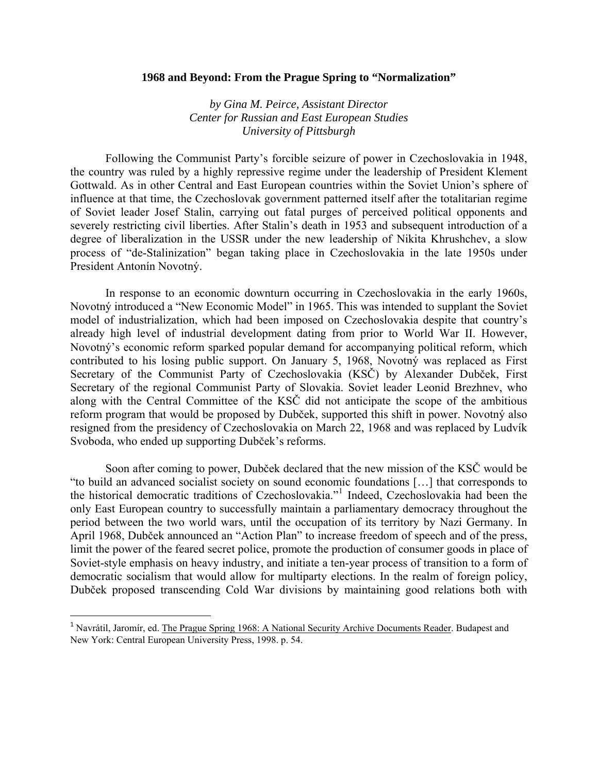## **1968 and Beyond: From the Prague Spring to "Normalization"**

*by Gina M. Peirce, Assistant Director Center for Russian and East European Studies University of Pittsburgh* 

Following the Communist Party's forcible seizure of power in Czechoslovakia in 1948, the country was ruled by a highly repressive regime under the leadership of President Klement Gottwald. As in other Central and East European countries within the Soviet Union's sphere of influence at that time, the Czechoslovak government patterned itself after the totalitarian regime of Soviet leader Josef Stalin, carrying out fatal purges of perceived political opponents and severely restricting civil liberties. After Stalin's death in 1953 and subsequent introduction of a degree of liberalization in the USSR under the new leadership of Nikita Khrushchev, a slow process of "de-Stalinization" began taking place in Czechoslovakia in the late 1950s under President Antonín Novotný.

In response to an economic downturn occurring in Czechoslovakia in the early 1960s, Novotný introduced a "New Economic Model" in 1965. This was intended to supplant the Soviet model of industrialization, which had been imposed on Czechoslovakia despite that country's already high level of industrial development dating from prior to World War II. However, Novotný's economic reform sparked popular demand for accompanying political reform, which contributed to his losing public support. On January 5, 1968, Novotný was replaced as First Secretary of the Communist Party of Czechoslovakia (KSČ) by Alexander Dubček, First Secretary of the regional Communist Party of Slovakia. Soviet leader Leonid Brezhnev, who along with the Central Committee of the KSČ did not anticipate the scope of the ambitious reform program that would be proposed by Dubček, supported this shift in power. Novotný also resigned from the presidency of Czechoslovakia on March 22, 1968 and was replaced by Ludvík Svoboda, who ended up supporting Dubček's reforms.

Soon after coming to power, Dubček declared that the new mission of the KSČ would be "to build an advanced socialist society on sound economic foundations […] that corresponds to the historical democratic traditions of Czechoslovakia."[1](#page-0-0) Indeed, Czechoslovakia had been the only East European country to successfully maintain a parliamentary democracy throughout the period between the two world wars, until the occupation of its territory by Nazi Germany. In April 1968, Dubček announced an "Action Plan" to increase freedom of speech and of the press, limit the power of the feared secret police, promote the production of consumer goods in place of Soviet-style emphasis on heavy industry, and initiate a ten-year process of transition to a form of democratic socialism that would allow for multiparty elections. In the realm of foreign policy, Dubček proposed transcending Cold War divisions by maintaining good relations both with

<span id="page-0-0"></span><sup>&</sup>lt;sup>1</sup> Navrátil, Jaromír, ed. The Prague Spring 1968: A National Security Archive Documents Reader. Budapest and New York: Central European University Press, 1998. p. 54.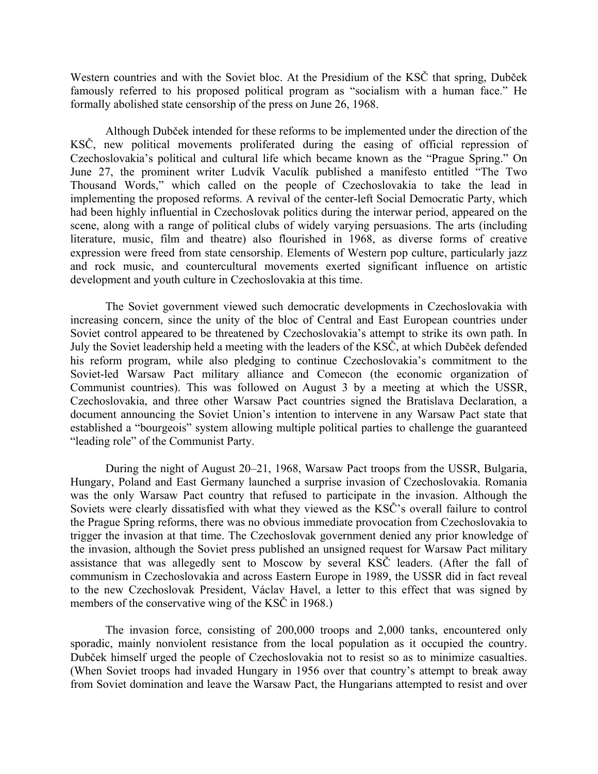Western countries and with the Soviet bloc. At the Presidium of the KSČ that spring, Dubček famously referred to his proposed political program as "socialism with a human face." He formally abolished state censorship of the press on June 26, 1968.

Although Dubček intended for these reforms to be implemented under the direction of the KSČ, new political movements proliferated during the easing of official repression of Czechoslovakia's political and cultural life which became known as the "Prague Spring." On June 27, the prominent writer Ludvík Vaculík published a manifesto entitled "The Two Thousand Words," which called on the people of Czechoslovakia to take the lead in implementing the proposed reforms. A revival of the center-left Social Democratic Party, which had been highly influential in Czechoslovak politics during the interwar period, appeared on the scene, along with a range of political clubs of widely varying persuasions. The arts (including literature, music, film and theatre) also flourished in 1968, as diverse forms of creative expression were freed from state censorship. Elements of Western pop culture, particularly jazz and rock music, and countercultural movements exerted significant influence on artistic development and youth culture in Czechoslovakia at this time.

The Soviet government viewed such democratic developments in Czechoslovakia with increasing concern, since the unity of the bloc of Central and East European countries under Soviet control appeared to be threatened by Czechoslovakia's attempt to strike its own path. In July the Soviet leadership held a meeting with the leaders of the KSČ, at which Dubček defended his reform program, while also pledging to continue Czechoslovakia's commitment to the Soviet-led Warsaw Pact military alliance and Comecon (the economic organization of Communist countries). This was followed on August 3 by a meeting at which the USSR, Czechoslovakia, and three other Warsaw Pact countries signed the Bratislava Declaration, a document announcing the Soviet Union's intention to intervene in any Warsaw Pact state that established a "bourgeois" system allowing multiple political parties to challenge the guaranteed "leading role" of the Communist Party.

During the night of August 20–21, 1968, Warsaw Pact troops from the USSR, Bulgaria, Hungary, Poland and East Germany launched a surprise invasion of Czechoslovakia. Romania was the only Warsaw Pact country that refused to participate in the invasion. Although the Soviets were clearly dissatisfied with what they viewed as the KSČ's overall failure to control the Prague Spring reforms, there was no obvious immediate provocation from Czechoslovakia to trigger the invasion at that time. The Czechoslovak government denied any prior knowledge of the invasion, although the Soviet press published an unsigned request for Warsaw Pact military assistance that was allegedly sent to Moscow by several KSČ leaders. (After the fall of communism in Czechoslovakia and across Eastern Europe in 1989, the USSR did in fact reveal to the new Czechoslovak President, Václav Havel, a letter to this effect that was signed by members of the conservative wing of the KSČ in 1968.)

The invasion force, consisting of 200,000 troops and 2,000 tanks, encountered only sporadic, mainly nonviolent resistance from the local population as it occupied the country. Dubček himself urged the people of Czechoslovakia not to resist so as to minimize casualties. (When Soviet troops had invaded Hungary in 1956 over that country's attempt to break away from Soviet domination and leave the Warsaw Pact, the Hungarians attempted to resist and over